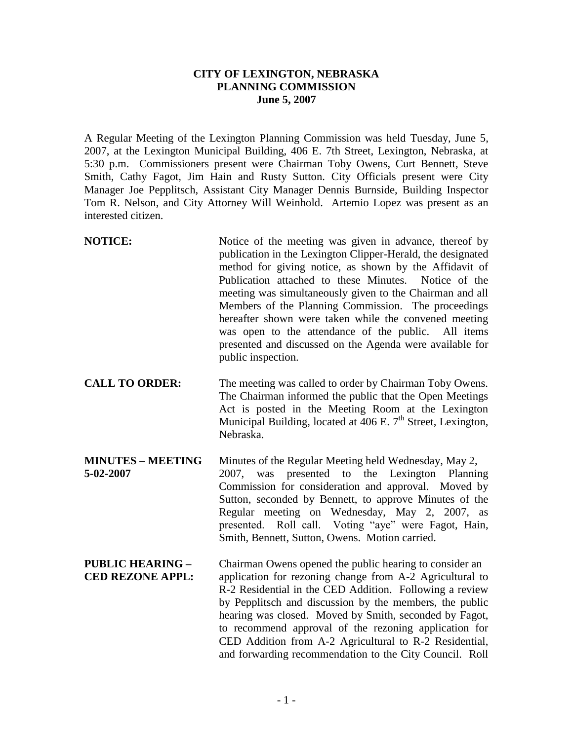## **CITY OF LEXINGTON, NEBRASKA PLANNING COMMISSION June 5, 2007**

A Regular Meeting of the Lexington Planning Commission was held Tuesday, June 5, 2007, at the Lexington Municipal Building, 406 E. 7th Street, Lexington, Nebraska, at 5:30 p.m. Commissioners present were Chairman Toby Owens, Curt Bennett, Steve Smith, Cathy Fagot, Jim Hain and Rusty Sutton. City Officials present were City Manager Joe Pepplitsch, Assistant City Manager Dennis Burnside, Building Inspector Tom R. Nelson, and City Attorney Will Weinhold. Artemio Lopez was present as an interested citizen.

- **NOTICE:** Notice of the meeting was given in advance, thereof by publication in the Lexington Clipper-Herald, the designated method for giving notice, as shown by the Affidavit of Publication attached to these Minutes. Notice of the meeting was simultaneously given to the Chairman and all Members of the Planning Commission. The proceedings hereafter shown were taken while the convened meeting was open to the attendance of the public. All items presented and discussed on the Agenda were available for public inspection. **CALL TO ORDER:** The meeting was called to order by Chairman Toby Owens. The Chairman informed the public that the Open Meetings Act is posted in the Meeting Room at the Lexington Municipal Building, located at  $\overline{406}$  E. 7<sup>th</sup> Street, Lexington, Nebraska. **MINUTES – MEETING** Minutes of the Regular Meeting held Wednesday, May 2, **5-02-2007** 2007, was presented to the Lexington Planning Commission for consideration and approval. Moved by Sutton, seconded by Bennett, to approve Minutes of the Regular meeting on Wednesday, May 2, 2007, as presented. Roll call. Voting "aye" were Fagot, Hain, Smith, Bennett, Sutton, Owens. Motion carried.
- **PUBLIC HEARING –** Chairman Owens opened the public hearing to consider an **CED REZONE APPL:** application for rezoning change from A-2 Agricultural to R-2 Residential in the CED Addition. Following a review by Pepplitsch and discussion by the members, the public hearing was closed. Moved by Smith, seconded by Fagot, to recommend approval of the rezoning application for CED Addition from A-2 Agricultural to R-2 Residential, and forwarding recommendation to the City Council. Roll